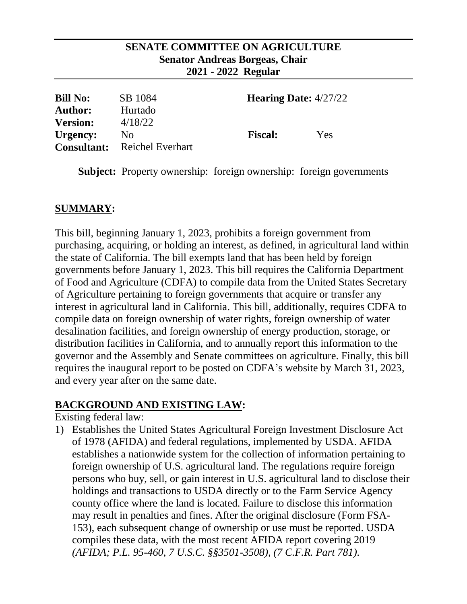#### **SENATE COMMITTEE ON AGRICULTURE Senator Andreas Borgeas, Chair 2021 - 2022 Regular**

| <b>Bill No:</b><br><b>Author:</b> | SB 1084<br>Hurtado                  | <b>Hearing Date:</b> $4/27/22$ |     |
|-----------------------------------|-------------------------------------|--------------------------------|-----|
| <b>Version:</b><br>Urgency:       | 4/18/22<br>No                       | <b>Fiscal:</b>                 | Yes |
|                                   | <b>Consultant:</b> Reichel Everhart |                                |     |

**Subject:** Property ownership: foreign ownership: foreign governments

### **SUMMARY:**

This bill, beginning January 1, 2023, prohibits a foreign government from purchasing, acquiring, or holding an interest, as defined, in agricultural land within the state of California. The bill exempts land that has been held by foreign governments before January 1, 2023. This bill requires the California Department of Food and Agriculture (CDFA) to compile data from the United States Secretary of Agriculture pertaining to foreign governments that acquire or transfer any interest in agricultural land in California. This bill, additionally, requires CDFA to compile data on foreign ownership of water rights, foreign ownership of water desalination facilities, and foreign ownership of energy production, storage, or distribution facilities in California, and to annually report this information to the governor and the Assembly and Senate committees on agriculture. Finally, this bill requires the inaugural report to be posted on CDFA's website by March 31, 2023, and every year after on the same date.

#### **BACKGROUND AND EXISTING LAW:**

Existing federal law:

1) Establishes the United States Agricultural Foreign Investment Disclosure Act of 1978 (AFIDA) and federal regulations, implemented by USDA. AFIDA establishes a nationwide system for the collection of information pertaining to foreign ownership of U.S. agricultural land. The regulations require foreign persons who buy, sell, or gain interest in U.S. agricultural land to disclose their holdings and transactions to USDA directly or to the Farm Service Agency county office where the land is located. Failure to disclose this information may result in penalties and fines. After the original disclosure (Form FSA-153), each subsequent change of ownership or use must be reported. USDA compiles these data, with the most recent AFIDA report covering 2019 *(AFIDA; P.L. 95-460, 7 U.S.C. §§3501-3508), (7 C.F.R. Part 781).*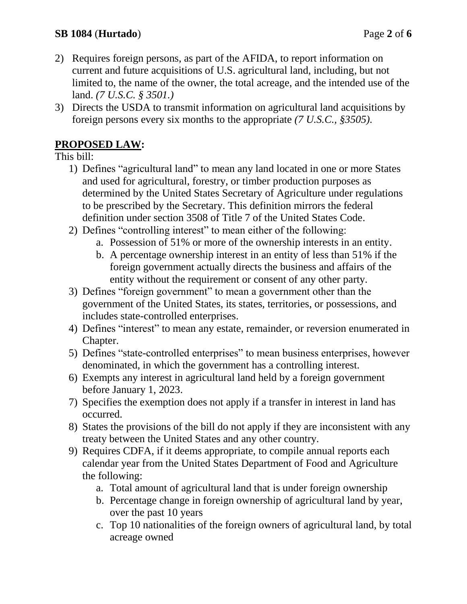- 2) Requires foreign persons, as part of the AFIDA, to report information on current and future acquisitions of U.S. agricultural land, including, but not limited to, the name of the owner, the total acreage, and the intended use of the land. *(7 U.S.C. § 3501.)*
- 3) Directs the USDA to transmit information on agricultural land acquisitions by foreign persons every six months to the appropriate *(7 U.S.C., §3505).*

# **PROPOSED LAW:**

This bill:

- 1) Defines "agricultural land" to mean any land located in one or more States and used for agricultural, forestry, or timber production purposes as determined by the United States Secretary of Agriculture under regulations to be prescribed by the Secretary. This definition mirrors the federal definition under section 3508 of Title 7 of the United States Code.
- 2) Defines "controlling interest" to mean either of the following:
	- a. Possession of 51% or more of the ownership interests in an entity.
	- b. A percentage ownership interest in an entity of less than 51% if the foreign government actually directs the business and affairs of the entity without the requirement or consent of any other party.
- 3) Defines "foreign government" to mean a government other than the government of the United States, its states, territories, or possessions, and includes state-controlled enterprises.
- 4) Defines "interest" to mean any estate, remainder, or reversion enumerated in Chapter.
- 5) Defines "state-controlled enterprises" to mean business enterprises, however denominated, in which the government has a controlling interest.
- 6) Exempts any interest in agricultural land held by a foreign government before January 1, 2023.
- 7) Specifies the exemption does not apply if a transfer in interest in land has occurred.
- 8) States the provisions of the bill do not apply if they are inconsistent with any treaty between the United States and any other country.
- 9) Requires CDFA, if it deems appropriate, to compile annual reports each calendar year from the United States Department of Food and Agriculture the following:
	- a. Total amount of agricultural land that is under foreign ownership
	- b. Percentage change in foreign ownership of agricultural land by year, over the past 10 years
	- c. Top 10 nationalities of the foreign owners of agricultural land, by total acreage owned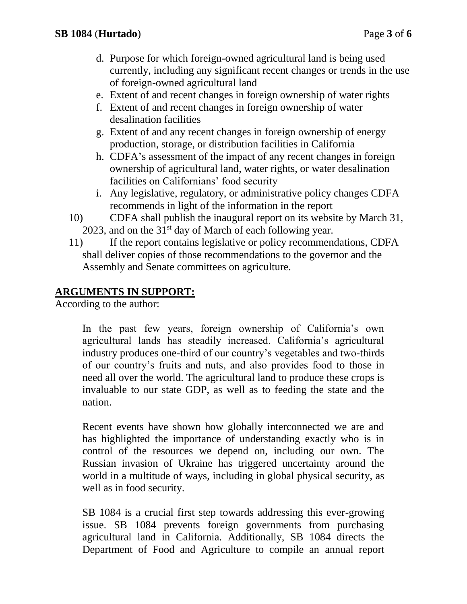- d. Purpose for which foreign-owned agricultural land is being used currently, including any significant recent changes or trends in the use of foreign-owned agricultural land
- e. Extent of and recent changes in foreign ownership of water rights
- f. Extent of and recent changes in foreign ownership of water desalination facilities
- g. Extent of and any recent changes in foreign ownership of energy production, storage, or distribution facilities in California
- h. CDFA's assessment of the impact of any recent changes in foreign ownership of agricultural land, water rights, or water desalination facilities on Californians' food security
- i. Any legislative, regulatory, or administrative policy changes CDFA recommends in light of the information in the report
- 10) CDFA shall publish the inaugural report on its website by March 31, 2023, and on the  $31<sup>st</sup>$  day of March of each following year.
- 11) If the report contains legislative or policy recommendations, CDFA shall deliver copies of those recommendations to the governor and the Assembly and Senate committees on agriculture.

## **ARGUMENTS IN SUPPORT:**

According to the author:

In the past few years, foreign ownership of California's own agricultural lands has steadily increased. California's agricultural industry produces one-third of our country's vegetables and two-thirds of our country's fruits and nuts, and also provides food to those in need all over the world. The agricultural land to produce these crops is invaluable to our state GDP, as well as to feeding the state and the nation.

Recent events have shown how globally interconnected we are and has highlighted the importance of understanding exactly who is in control of the resources we depend on, including our own. The Russian invasion of Ukraine has triggered uncertainty around the world in a multitude of ways, including in global physical security, as well as in food security.

SB 1084 is a crucial first step towards addressing this ever-growing issue. SB 1084 prevents foreign governments from purchasing agricultural land in California. Additionally, SB 1084 directs the Department of Food and Agriculture to compile an annual report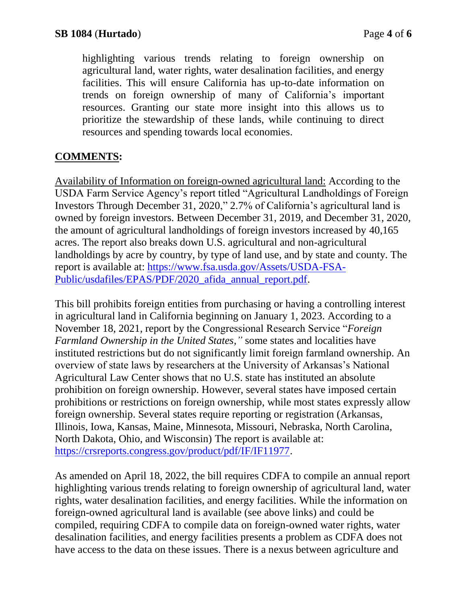highlighting various trends relating to foreign ownership on agricultural land, water rights, water desalination facilities, and energy facilities. This will ensure California has up-to-date information on trends on foreign ownership of many of California's important resources. Granting our state more insight into this allows us to prioritize the stewardship of these lands, while continuing to direct resources and spending towards local economies.

## **COMMENTS:**

Availability of Information on foreign-owned agricultural land: According to the USDA Farm Service Agency's report titled "Agricultural Landholdings of Foreign Investors Through December 31, 2020," 2.7% of California's agricultural land is owned by foreign investors. Between December 31, 2019, and December 31, 2020, the amount of agricultural landholdings of foreign investors increased by 40,165 acres. The report also breaks down U.S. agricultural and non-agricultural landholdings by acre by country, by type of land use, and by state and county. The report is available at: [https://www.fsa.usda.gov/Assets/USDA-FSA-](https://www.fsa.usda.gov/Assets/USDA-FSA-Public/usdafiles/EPAS/PDF/2020_afida_annual_report.pdf)[Public/usdafiles/EPAS/PDF/2020\\_afida\\_annual\\_report.pdf.](https://www.fsa.usda.gov/Assets/USDA-FSA-Public/usdafiles/EPAS/PDF/2020_afida_annual_report.pdf)

This bill prohibits foreign entities from purchasing or having a controlling interest in agricultural land in California beginning on January 1, 2023. According to a November 18, 2021, report by the Congressional Research Service "*Foreign Farmland Ownership in the United States,"* some states and localities have instituted restrictions but do not significantly limit foreign farmland ownership. An overview of state laws by researchers at the University of Arkansas's National Agricultural Law Center shows that no U.S. state has instituted an absolute prohibition on foreign ownership. However, several states have imposed certain prohibitions or restrictions on foreign ownership, while most states expressly allow foreign ownership. Several states require reporting or registration (Arkansas, Illinois, Iowa, Kansas, Maine, Minnesota, Missouri, Nebraska, North Carolina, North Dakota, Ohio, and Wisconsin) The report is available at: [https://crsreports.congress.gov/product/pdf/IF/IF11977.](https://crsreports.congress.gov/product/pdf/IF/IF11977)

As amended on April 18, 2022, the bill requires CDFA to compile an annual report highlighting various trends relating to foreign ownership of agricultural land, water rights, water desalination facilities, and energy facilities. While the information on foreign-owned agricultural land is available (see above links) and could be compiled, requiring CDFA to compile data on foreign-owned water rights, water desalination facilities, and energy facilities presents a problem as CDFA does not have access to the data on these issues. There is a nexus between agriculture and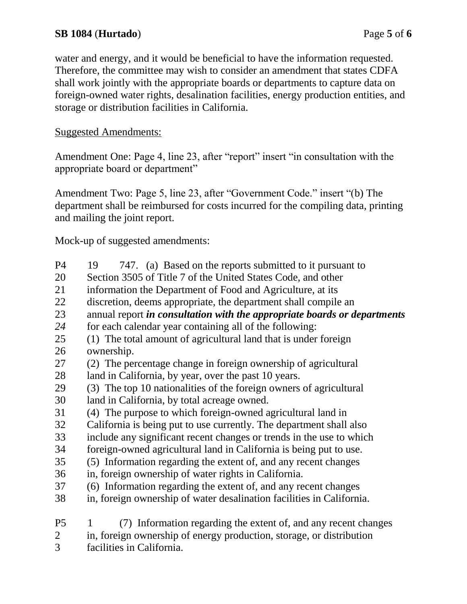water and energy, and it would be beneficial to have the information requested. Therefore, the committee may wish to consider an amendment that states CDFA shall work jointly with the appropriate boards or departments to capture data on foreign-owned water rights, desalination facilities, energy production entities, and storage or distribution facilities in California.

#### Suggested Amendments:

Amendment One: Page 4, line 23, after "report" insert "in consultation with the appropriate board or department"

Amendment Two: Page 5, line 23, after "Government Code." insert "(b) The department shall be reimbursed for costs incurred for the compiling data, printing and mailing the joint report.

Mock-up of suggested amendments:

| P4             | 747. (a) Based on the reports submitted to it pursuant to<br>19          |
|----------------|--------------------------------------------------------------------------|
| 20             | Section 3505 of Title 7 of the United States Code, and other             |
| 21             | information the Department of Food and Agriculture, at its               |
| 22             | discretion, deems appropriate, the department shall compile an           |
| 23             | annual report in consultation with the appropriate boards or departments |
| 24             | for each calendar year containing all of the following:                  |
| 25             | (1) The total amount of agricultural land that is under foreign          |
| 26             | ownership.                                                               |
| 27             | (2) The percentage change in foreign ownership of agricultural           |
| 28             | land in California, by year, over the past 10 years.                     |
| 29             | (3) The top 10 nationalities of the foreign owners of agricultural       |
| 30             | land in California, by total acreage owned.                              |
| 31             | (4) The purpose to which foreign-owned agricultural land in              |
| 32             | California is being put to use currently. The department shall also      |
| 33             | include any significant recent changes or trends in the use to which     |
| 34             | foreign-owned agricultural land in California is being put to use.       |
| 35             | (5) Information regarding the extent of, and any recent changes          |
| 36             | in, foreign ownership of water rights in California.                     |
| 37             | (6) Information regarding the extent of, and any recent changes          |
| 38             | in, foreign ownership of water desalination facilities in California.    |
| P <sub>5</sub> | (7) Information regarding the extent of, and any recent changes<br>1     |
| $\overline{2}$ | in, foreign ownership of energy production, storage, or distribution     |

3 facilities in California.